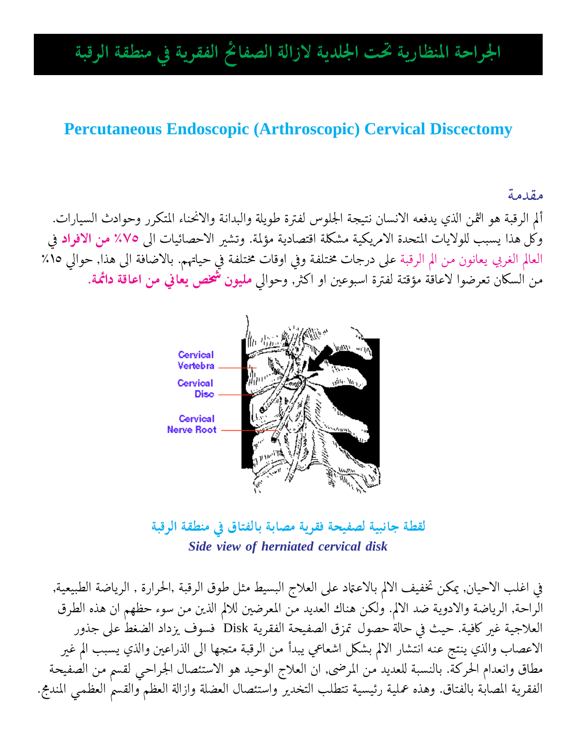# الجراحة المنظارية تحت الجلدية لازالة الصفائح الفقرية في منطقة الرقبة

#### **Percutaneous Endoscopic (Arthroscopic) Cervical Discectomy**

#### مقدمة

ألم الرقبة هو الثمن الذي يدفعه الانسان نتيجة الجلوس لفترة طويلة والبدانة والانحناء المتكرر وحوادث السيارات. وكل هذا يسبب للولايات المتحدة الامريكية مشكلة اقتصادية مؤلمة. وتشير الاحصائيات الى ٧٥٪ من الافراد في العالم الغربي يعانون من الم الرقبة على درجات مختلفة وفي اوقات مختلفة في حياتهم. بالاضافة الى هذا, حوالي ١٥٪ من السكان تعرضوا لاعاقة مؤقتة لفترة اسبوعين او اكثر, وحوالي **مليون شخص يعاني من اعاقة دائمة**.



لقطة جانبية لصفيحة فقرية مصابة بالفتاق في منطقة الرقبة Side view of herniated cervical disk

في اغلب الاحيان, يمكن تخفيف الالم بالاعتماد على العلاج البسيط مثل طوق الرقبة ,الحرارة , الرياضة الطبيعية, الراحة, الرياضة والادوية ضد الالم. ولكن هناك العديد من المعرضين للالم الذين من سوء حظهم ان هذه الطرق العلاجية غير كافية. حيث في حالة حصول تمزق الصفيحة الفقرية Disk فسوف يزداد الضغط على جذور الاعصاب والذي ينتج عنه انتشار الالم بشكل اشعاعي يبدأ من الرقبة متجها الى الذراعين والذي يسبب الم غير مطاق وانعدام الحركة. بالنسبة للعديد من المرضى, ان العلاج الوحيد هو الاستئصال الجراحي لقسم من الصفيحة الفقرية المصابة بالفتاق. وهذه عملية رئيسية تتطلب التخدير واستئصال العضلة وازالة العظم والقسم العظمى المندمج.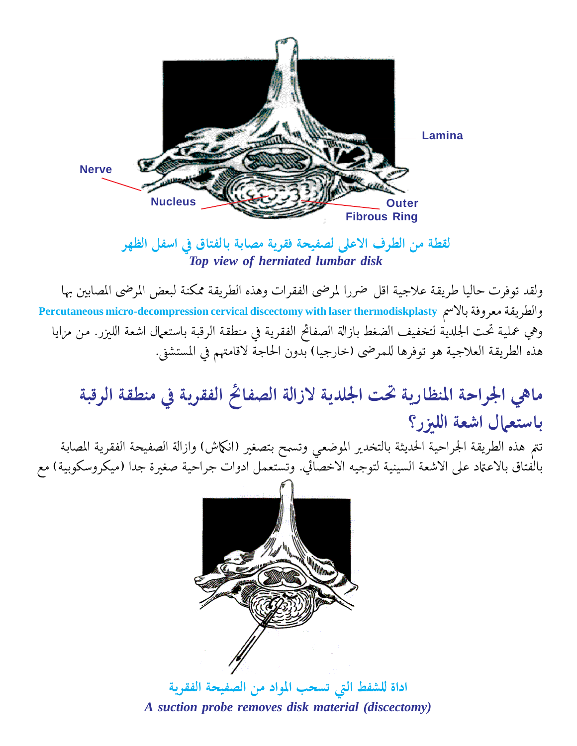

لقطة من الطرف الاعلى لصفيحة فقرية مصابة بالفتاق في اسفل الظهر Top view of herniated lumbar disk

ولقد توفرت حاليا طريقة علاجية اقل ضررا لمرضى الفقرات وهذه الطريقة ممكنة لبعض المرضى المصابين بها والطريقة معروفة بالاسم Percutaneous micro-decompression cervical discectomy with laser thermodiskplasty وهي عملية تحت الجلدية لتخفيف الضغط بازالة الصفائح الفقرية في منطقة الرقبة باستعمال اشعة الليزر. من مزايا هذه الطريقة العلاجية هو توفرها للمرضى (خارجيا) بدون الحاجة لاقامتهم في المستشفى.

# ماهي الجراحة المنظارية تحت الجلدية لازالة الصفائح الفقرية فى منطقة الرقبة باستعمال اشعة الليزر؟

تتم هذه الطريقة الجراحية الحديثة بالتخدير الموضعي وتسمح بتصغير (انكماش) وازالة الصفيحة الفقرية المصابة بالفتاق بالاعتاد على الاشعة السينية لتوجيه الاخصائي. وتستعمل ادوات جراحية صغيرة جدا (ميكروسكوبية) مع



اداة للشفط التي تسحب المواد من الصفيحة الفقرية A suction probe removes disk material (discectomy)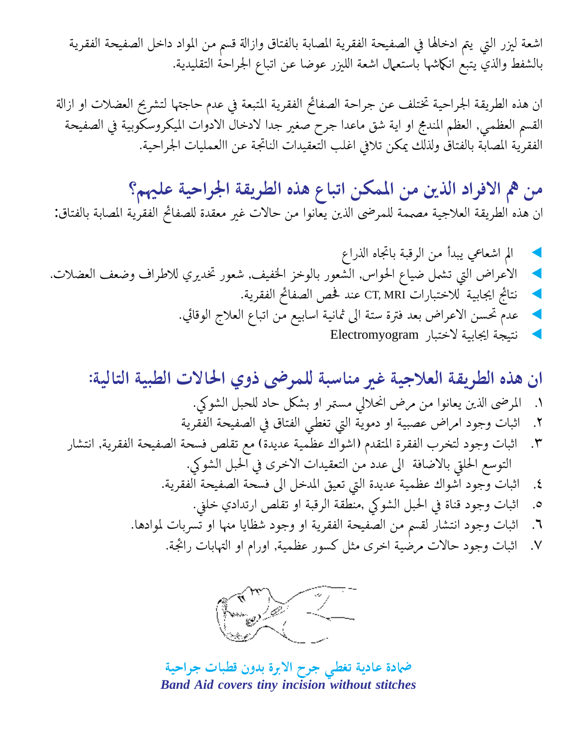اشعة ليزر التي يتم ادخالها في الصفيحة الفقرية المصابة بالفتاق وازالة قسم من المواد داخل الصفيحة الفقرية بالشفط والذي يتبع انكماشها باستعمال اشعة الليزر عوضا عن اتباع الجراحة التقليدية.

ان هذه الطريقة الجراحية تختلف عن جراحة الصفائح الفقرية المتبعة في عدم حاجتها لتشريح العضلات او ازالة القسم العظمى, العظم المندمج او اية شق ماعدا جرح صغير جدا لادخال الادوات الميكروسكوبية في الصفيحة الفقرية المصابّة بالفتاقْ ولذلّك يمكن تلافي اغلب التّعقيدات الناتجة عن االعمليات الجراحية.

من هم الافراد الذين من الممكن اتباع هذه الطريقة الجراحية عليهم؟ ان هذه الطريقة العلاجية مصممة للمرضى الذين يعانوا من حالات غير معقدة للصفائح الفقرية المصابة بالفتاق:

ان هذه الطريقة العلاجية غير مناسبة للمرضى ذوي الحالات الطبية التالية: المرضى الذين يعانوا من مرض انحلالي مستمر او بشكل حاد للحبل الشوكي.  $\Lambda$ اثبات وجود امراض عصبية او دموية التي تغطى الفتاق في الصفيحة الفقرية ۲. اثبات وجود لتخرب الفقرة المتقدم (اشواك عظمية عديدة) مع تقلص فسحة الصفيحة الفقرية, انتشار  $\mathsf{r}.$ التوسع الحلقي بالاضافة إلى عدد من التعقيدات الاخرى في الحبل الشوكي. اثبات وجود اشواك عظمية عديدة التي تعيق المدخل الى فسحة الصفيحة الفقرية.  $\mathbf{.}$ اثبات وجود قناة في الحبل الشوكي ,منطقة الرقبة او تقلص ارتدادي خلني.  $\cdot$ اثبات وجود انتشار لقسم من الصفيحة الفقرية او وجود شظايا منها او تسربات لموادها. ٦. اثبات وجود حالات مرضية اخرى مثل كسور عظمية, اورام او التهابات رائجة.  $\mathcal{N}$ 



ضمادة عادية تغطى جرح الابرة بدون قطبات جراحية **Band Aid covers tiny incision without stitches**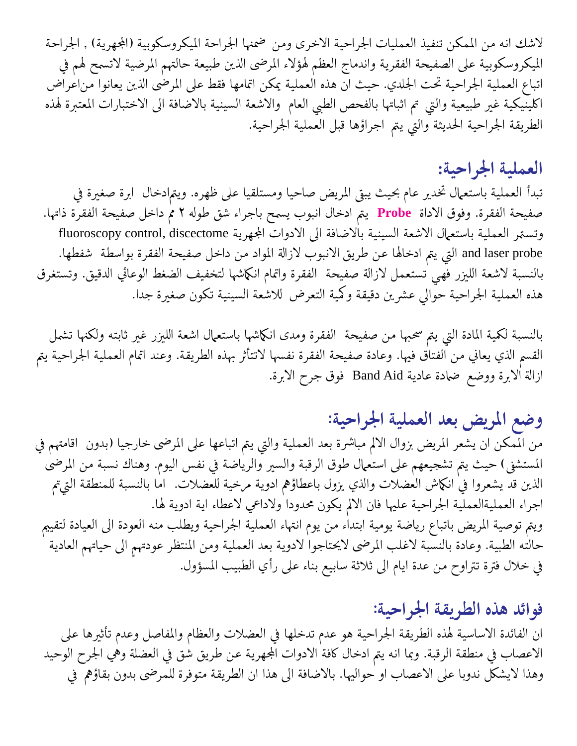لاشك انه من الممكن تنفيذ العمليات الجراحية الاخرى ومن ضمنها الجراحة الميكروسكوبية (المجهرية) , الجراحة الميكروسكوبية على الصفيحة الفقرية واندماج العظم لهؤلاء المرضى الذين طبيعة حالتهم المرضية لاتسمح لهم في اتباع العملية الجراحية تحت الجلدي. حيث ان هذه العملية يمكن اتمامها فقط على المرضى الذين يعانوا من|عراض اكلينيكية غير طبيعية والتي تم اثباتها بالفحص الطبي العام والاشعة السينية بالاضافة الى الاختبارات المعتبرة لهذه الطريقة الجراحية الحديثة والتي يتم اجراؤها قبل العملية الجراحية.

### العملية الجراحية:

تبدأ العملية باستعمال تخدير عام بحيث يبقي المريض صاحيا ومستلقيا على ظهره. ويتمادخال ابرة صغيرة في صفيحة الفقرة. وفوق الاداة Probe يتم ادخال انبوب يسمح باجراء شق طوله ٢ مم داخل صفيحة الفقرة ذاتها. وتستمر العملية باستعمال الاشعة السينية بالاضافة الى الادوات المجهرية fluoroscopy control, discectome and laser probe التي يتم ادخالها عن طريق الانبوب لازالة المواد من داخل صفيحة الفقرة بواسطة شفطها. بالنسبة لاشعة الليزر فهي تستعمل لازالة صفيحة الفقرة واتمام انكماشها لتخفيف الضغط الوعائي الدقيق. وتستغرق هذه العملية الجراحية حوالي عشرين دقيقة وكمية التعرض للاشعة السينية تكون صغيرة جدا.

بالنسبة لكمية المادة التي يتم سحبها من صفيحة الفقرة ومدى انكماشها باستعمال اشعة الليزر غير ثابته ولكنها تشمل القسم الذي يعاني من الفتاق فيها. وعادة صفيحة الفقرة نفسها لاتتأثر بهذه الطريقة. وعند اتمام العملية الجراحية يتم ازالة الابرة ووضع ضمادة عادية Band Aid فوق جرح الابرة.

## وضع المريض بعد العملية الجراحية:

من الممكن ان يشعر المريض بزوال الالم مباشرة بعد العملية والتي يتم اتباعها على المرضى خارجيا (بدون اقامتهم في المستشفى) حيث يتم تشجيعهم على استعمال طوق الرقبة والسير والرياضة في نفس اليوم. وهناك نسبة من المرضى الذين قد يشعروا في انكماش العضلات والذي يزول باعطاؤهم ادوية مرخية للعضلات. اما بالنسبة للمنطقة التي¢م اجراء العمليةالعملية الجراحية عليها فان الالم يكون محدودا ولاداعي لاعطاء اية ادوية لها. ويتم توصية المريض باتباع رياضة يومية ابتداء من يوم انتهاء العملية الجراحية ويطلب منه العودة الى العيادة لتقييم حالته الطبية. وعادة بالنسبة لاغلب المرضى لايحتاجوا لادوية بعد العملية ومن المنتظر عودتهم الى حياتهم العادية في خلال فترة تتراوح من عدة ايام الى ثلاثة سابيع بناء على رأي الطبيب المسؤول.

### فوائد هذه الطريقة الجراحية:

ان الفائدة الاساسية لهذه الطريقة الجراحية هو عدم تدخلها في العضلات والعظام والمفاصل وعدم تأثيرها على الاعصاب في منطقة الرقبة. وبما انه يتم ادخال كافة الادوات المجهرية عن طريق شق في العضلة وهي الجرح الوحيد وهذا لايشكل ندوبا على الاعصاب او حواليها. بالاضافة الى هذا ان الطريقة متوفرة للمرضى بدون بقاؤهم في